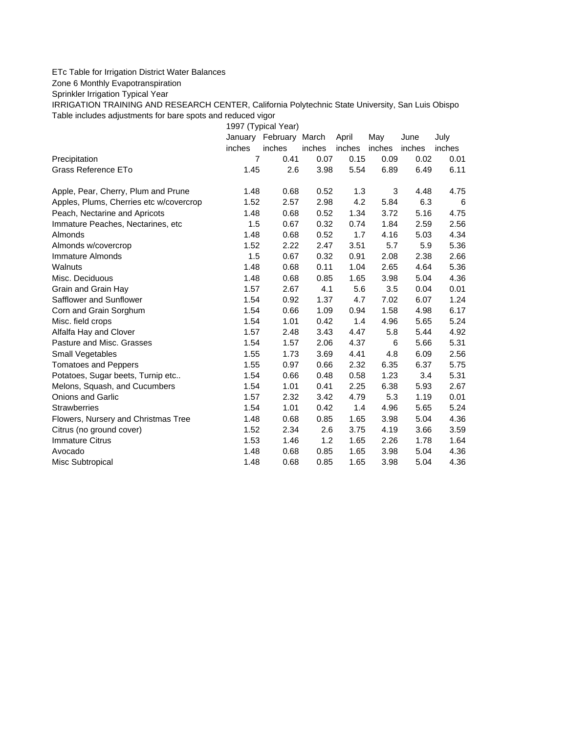## ETc Table for Irrigation District Water Balances

Zone 6 Monthly Evapotranspiration

Sprinkler Irrigation Typical Year

IRRIGATION TRAINING AND RESEARCH CENTER, California Polytechnic State University, San Luis Obispo Table includes adjustments for bare spots and reduced vigor

1997 (Typical Year) January February March April May June July inches inches inches inches inches inches inches Precipitation 7 0.41 0.07 0.15 0.09 0.02 0.01 Grass Reference ETo **1.45** 2.6 3.98 5.54 6.89 6.49 6.11 Apple, Pear, Cherry, Plum and Prune 1.48 0.68 0.52 1.3 3 4.48 4.75 Apples, Plums, Cherries etc w/covercrop  $1.52$  2.57 2.98 4.2 5.84 6.3 6 Peach, Nectarine and Apricots 1.48 0.68 0.52 1.34 3.72 5.16 4.75 Immature Peaches, Nectarines, etc 1.5 0.67 0.32 0.74 1.84 2.59 2.56 Almonds 1.48 0.68 0.52 1.7 4.16 5.03 4.34 Almonds w/covercrop  $1.52$   $2.22$   $2.47$   $3.51$   $5.7$   $5.9$   $5.36$ Immature Almonds 1.5 0.67 0.32 0.91 2.08 2.38 2.66 Walnuts 1.48 0.68 0.11 1.04 2.65 4.64 5.36 Misc. Deciduous 1.48 0.68 0.85 1.65 3.98 5.04 4.36 Grain and Grain Hay  $1.57$   $2.67$   $4.1$   $5.6$   $3.5$   $0.04$   $0.01$ Safflower and Sunflower 1.54 0.92 1.37 4.7 7.02 6.07 1.24 Corn and Grain Sorghum 1.54 0.66 1.09 0.94 1.58 4.98 6.17 Misc. field crops 1.54 1.01 0.42 1.4 4.96 5.65 5.24 Alfalfa Hay and Clover 1.57 2.48 3.43 4.47 5.8 5.44 4.92 Pasture and Misc. Grasses 1.54 1.57 2.06 4.37 6 5.66 5.31 Small Vegetables 1.55 1.73 3.69 4.41 4.8 6.09 2.56 Tomatoes and Peppers 1.55 0.97 0.66 2.32 6.35 6.37 5.75 Potatoes, Sugar beets, Turnip etc.. <br>1.54 0.66 0.48 0.58 1.23 3.4 5.31 Melons, Squash, and Cucumbers 1.54 1.01 0.41 2.25 6.38 5.93 2.67 Onions and Garlic 1.57 2.32 3.42 4.79 5.3 1.19 0.01 Strawberries 1.54 1.01 0.42 1.4 4.96 5.65 5.24 Flowers, Nursery and Christmas Tree  $1.48$  0.68 0.85 1.65 3.98 5.04 4.36 Citrus (no ground cover) 1.52 2.34 2.6 3.75 4.19 3.66 3.59 Immature Citrus 1.53 1.46 1.2 1.65 2.26 1.78 1.64 Avocado 1.48 0.68 0.85 1.65 3.98 5.04 4.36 Misc Subtropical 1.48 0.68 0.85 1.65 3.98 5.04 4.36